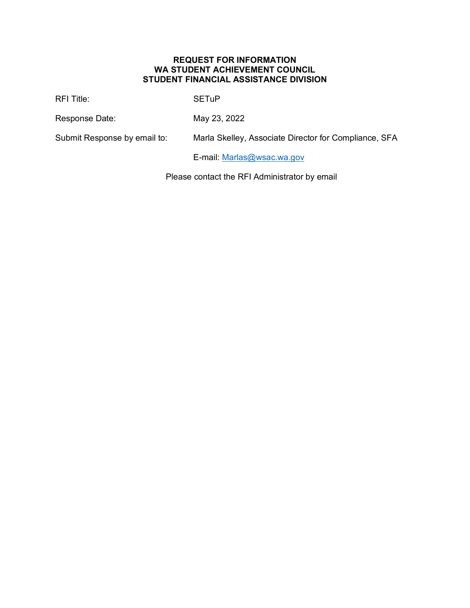#### **REQUEST FOR INFORMATION WA STUDENT ACHIEVEMENT COUNCIL STUDENT FINANCIAL ASSISTANCE DIVISION**

RFI Title: SETuP

Response Date: May 23, 2022

Submit Response by email to: Marla Skelley, Associate Director for Compliance, SFA

E-mail: [Marlas@wsac.wa.gov](mailto:Marlas@wsac.wa.gov)

Please contact the RFI Administrator by email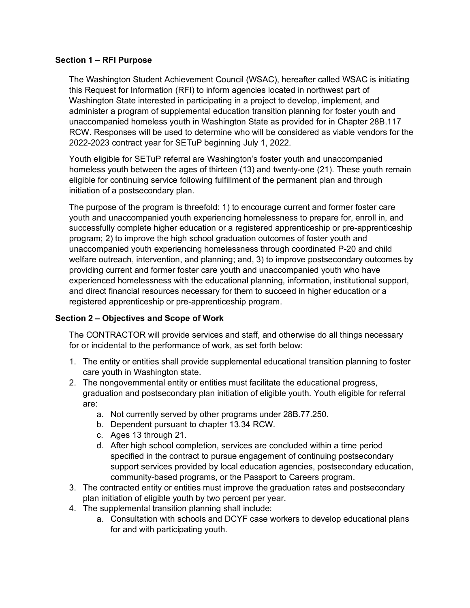### **Section 1 – RFI Purpose**

The Washington Student Achievement Council (WSAC), hereafter called WSAC is initiating this Request for Information (RFI) to inform agencies located in northwest part of Washington State interested in participating in a project to develop, implement, and administer a program of supplemental education transition planning for foster youth and unaccompanied homeless youth in Washington State as provided for in Chapter 28B.117 RCW. Responses will be used to determine who will be considered as viable vendors for the 2022-2023 contract year for SETuP beginning July 1, 2022.

Youth eligible for SETuP referral are Washington's foster youth and unaccompanied homeless youth between the ages of thirteen (13) and twenty-one (21). These youth remain eligible for continuing service following fulfillment of the permanent plan and through initiation of a postsecondary plan.

The purpose of the program is threefold: 1) to encourage current and former foster care youth and unaccompanied youth experiencing homelessness to prepare for, enroll in, and successfully complete higher education or a registered apprenticeship or pre-apprenticeship program; 2) to improve the high school graduation outcomes of foster youth and unaccompanied youth experiencing homelessness through coordinated P-20 and child welfare outreach, intervention, and planning; and, 3) to improve postsecondary outcomes by providing current and former foster care youth and unaccompanied youth who have experienced homelessness with the educational planning, information, institutional support, and direct financial resources necessary for them to succeed in higher education or a registered apprenticeship or pre-apprenticeship program.

# **Section 2 – Objectives and Scope of Work**

The CONTRACTOR will provide services and staff, and otherwise do all things necessary for or incidental to the performance of work, as set forth below:

- 1. The entity or entities shall provide supplemental educational transition planning to foster care youth in Washington state.
- 2. The nongovernmental entity or entities must facilitate the educational progress, graduation and postsecondary plan initiation of eligible youth. Youth eligible for referral are:
	- a. Not currently served by other programs under 28B.77.250.
	- b. Dependent pursuant to chapter 13.34 RCW.
	- c. Ages 13 through 21.
	- d. After high school completion, services are concluded within a time period specified in the contract to pursue engagement of continuing postsecondary support services provided by local education agencies, postsecondary education, community-based programs, or the Passport to Careers program.
- 3. The contracted entity or entities must improve the graduation rates and postsecondary plan initiation of eligible youth by two percent per year.
- 4. The supplemental transition planning shall include:
	- a. Consultation with schools and DCYF case workers to develop educational plans for and with participating youth.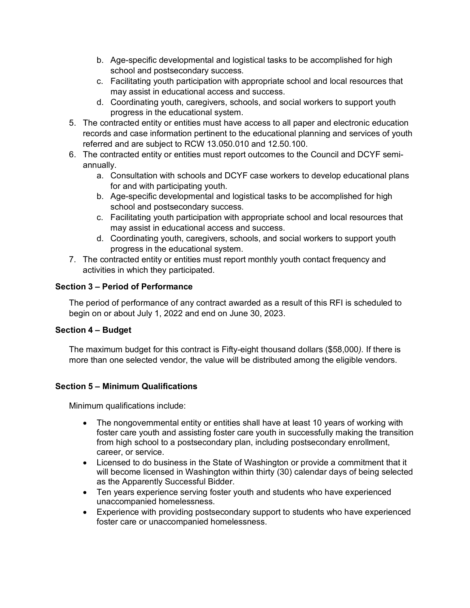- b. Age-specific developmental and logistical tasks to be accomplished for high school and postsecondary success.
- c. Facilitating youth participation with appropriate school and local resources that may assist in educational access and success.
- d. Coordinating youth, caregivers, schools, and social workers to support youth progress in the educational system.
- 5. The contracted entity or entities must have access to all paper and electronic education records and case information pertinent to the educational planning and services of youth referred and are subject to RCW 13.050.010 and 12.50.100.
- 6. The contracted entity or entities must report outcomes to the Council and DCYF semiannually.
	- a. Consultation with schools and DCYF case workers to develop educational plans for and with participating youth.
	- b. Age-specific developmental and logistical tasks to be accomplished for high school and postsecondary success.
	- c. Facilitating youth participation with appropriate school and local resources that may assist in educational access and success.
	- d. Coordinating youth, caregivers, schools, and social workers to support youth progress in the educational system.
- 7. The contracted entity or entities must report monthly youth contact frequency and activities in which they participated.

# **Section 3 – Period of Performance**

The period of performance of any contract awarded as a result of this RFI is scheduled to begin on or about July 1, 2022 and end on June 30, 2023.

# **Section 4 – Budget**

The maximum budget for this contract is Fifty-eight thousand dollars (\$58,000*).* If there is more than one selected vendor, the value will be distributed among the eligible vendors.

# **Section 5 – Minimum Qualifications**

Minimum qualifications include:

- The nongovernmental entity or entities shall have at least 10 years of working with foster care youth and assisting foster care youth in successfully making the transition from high school to a postsecondary plan, including postsecondary enrollment, career, or service.
- Licensed to do business in the State of Washington or provide a commitment that it will become licensed in Washington within thirty (30) calendar days of being selected as the Apparently Successful Bidder.
- Ten years experience serving foster youth and students who have experienced unaccompanied homelessness.
- Experience with providing postsecondary support to students who have experienced foster care or unaccompanied homelessness.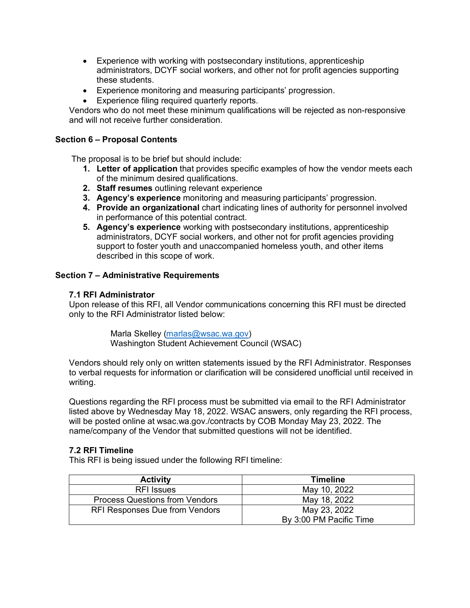- Experience with working with postsecondary institutions, apprenticeship administrators, DCYF social workers, and other not for profit agencies supporting these students.
- Experience monitoring and measuring participants' progression.
- Experience filing required quarterly reports.

Vendors who do not meet these minimum qualifications will be rejected as non-responsive and will not receive further consideration.

### **Section 6 – Proposal Contents**

The proposal is to be brief but should include:

- **1. Letter of application** that provides specific examples of how the vendor meets each of the minimum desired qualifications.
- **2. Staff resumes** outlining relevant experience
- **3. Agency's experience** monitoring and measuring participants' progression.
- **4. Provide an organizational** chart indicating lines of authority for personnel involved in performance of this potential contract.
- **5. Agency's experience** working with postsecondary institutions, apprenticeship administrators, DCYF social workers, and other not for profit agencies providing support to foster youth and unaccompanied homeless youth, and other items described in this scope of work.

#### **Section 7 – Administrative Requirements**

#### **7.1 RFI Administrator**

Upon release of this RFI, all Vendor communications concerning this RFI must be directed only to the RFI Administrator listed below:

> Marla Skelley [\(marlas@wsac.wa.gov\)](mailto:marlas@wsac.wa.gov) Washington Student Achievement Council (WSAC)

Vendors should rely only on written statements issued by the RFI Administrator. Responses to verbal requests for information or clarification will be considered unofficial until received in writing.

Questions regarding the RFI process must be submitted via email to the RFI Administrator listed above by Wednesday May 18, 2022. WSAC answers, only regarding the RFI process, will be posted online at wsac.wa.gov./contracts by COB Monday May 23, 2022. The name/company of the Vendor that submitted questions will not be identified.

### **7.2 RFI Timeline**

This RFI is being issued under the following RFI timeline:

| <b>Activity</b>                       | <b>Timeline</b>         |
|---------------------------------------|-------------------------|
| <b>RFI</b> Issues                     | May 10, 2022            |
| <b>Process Questions from Vendors</b> | May 18, 2022            |
| <b>RFI Responses Due from Vendors</b> | May 23, 2022            |
|                                       | By 3:00 PM Pacific Time |